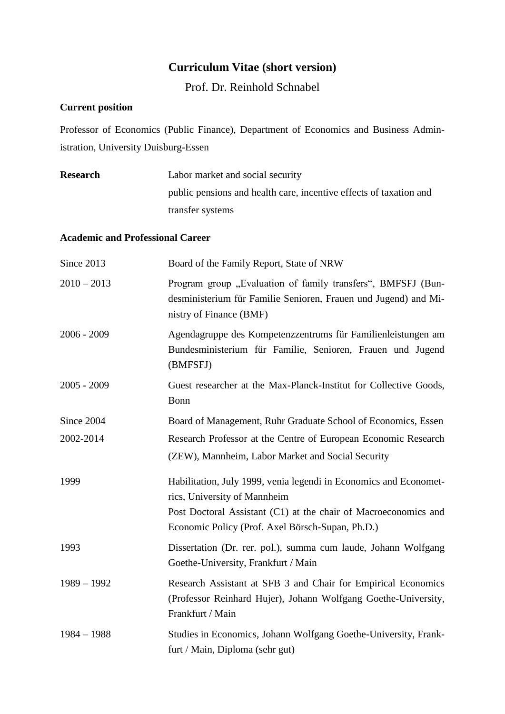## **Curriculum Vitae (short version)**

Prof. Dr. Reinhold Schnabel

## **Current position**

Professor of Economics (Public Finance), Department of Economics and Business Administration, University Duisburg-Essen

| <b>Research</b>                         | Labor market and social security                                                                                                                           |  |
|-----------------------------------------|------------------------------------------------------------------------------------------------------------------------------------------------------------|--|
|                                         | public pensions and health care, incentive effects of taxation and                                                                                         |  |
|                                         | transfer systems                                                                                                                                           |  |
| <b>Academic and Professional Career</b> |                                                                                                                                                            |  |
| Since 2013                              | Board of the Family Report, State of NRW                                                                                                                   |  |
| $2010 - 2013$                           | Program group "Evaluation of family transfers", BMFSFJ (Bun-<br>desministerium für Familie Senioren, Frauen und Jugend) and Mi-<br>nistry of Finance (BMF) |  |
| $2006 - 2009$                           | Agendagruppe des Kompetenzzentrums für Familienleistungen am<br>Bundesministerium für Familie, Senioren, Frauen und Jugend<br>(BMFSFJ)                     |  |
| $2005 - 2009$                           | Guest researcher at the Max-Planck-Institut for Collective Goods,<br>Bonn                                                                                  |  |
| Since 2004                              | Board of Management, Ruhr Graduate School of Economics, Essen                                                                                              |  |
| 2002-2014                               | Research Professor at the Centre of European Economic Research                                                                                             |  |
|                                         | (ZEW), Mannheim, Labor Market and Social Security                                                                                                          |  |
| 1999                                    | Habilitation, July 1999, venia legendi in Economics and Economet-<br>rics, University of Mannheim                                                          |  |
|                                         | Post Doctoral Assistant (C1) at the chair of Macroeconomics and<br>Economic Policy (Prof. Axel Börsch-Supan, Ph.D.)                                        |  |
| 1993                                    | Dissertation (Dr. rer. pol.), summa cum laude, Johann Wolfgang<br>Goethe-University, Frankfurt / Main                                                      |  |
| $1989 - 1992$                           | Research Assistant at SFB 3 and Chair for Empirical Economics<br>(Professor Reinhard Hujer), Johann Wolfgang Goethe-University,<br>Frankfurt / Main        |  |
| $1984 - 1988$                           | Studies in Economics, Johann Wolfgang Goethe-University, Frank-<br>furt / Main, Diploma (sehr gut)                                                         |  |